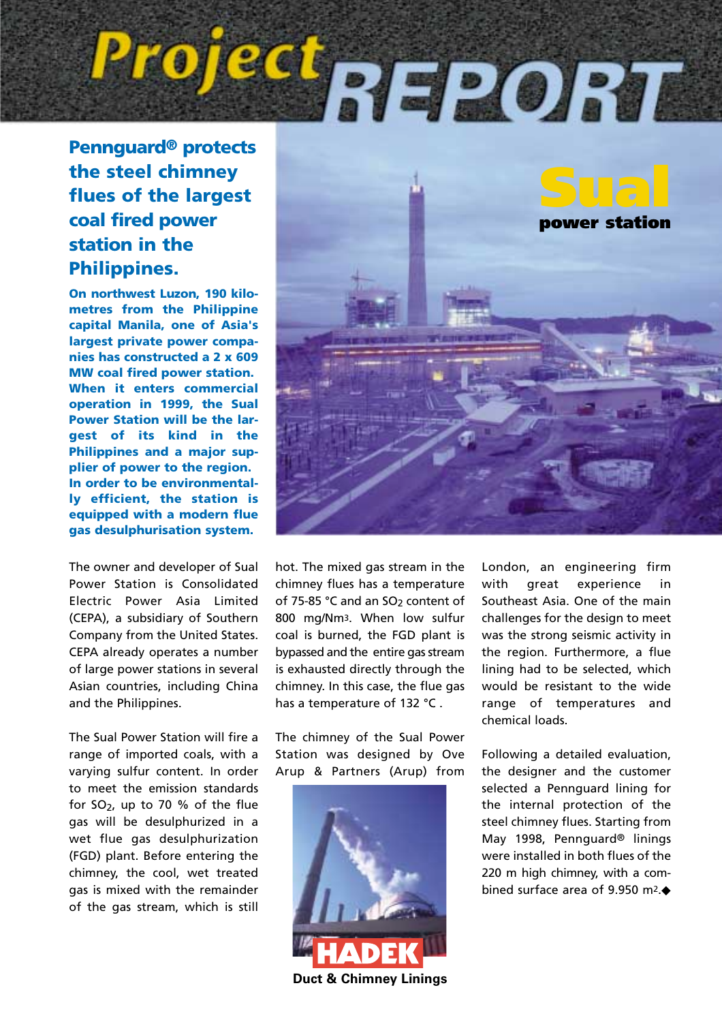# Project<sub>REPORT</sub>

### **Pennguard® protects the steel chimney flues of the largest coal fired power station in the Philippines.**

**On northwest Luzon, 190 kilometres from the Philippine capital Manila, one of Asia's largest private power companies has constructed a 2 x 609 MW coal fired power station. When it enters commercial operation in 1999, the Sual Power Station will be the largest of its kind in the Philippines and a major supplier of power to the region. In order to be environmentally efficient, the station is equipped with a modern flue gas desulphurisation system.**

The owner and developer of Sual Power Station is Consolidated Electric Power Asia Limited (CEPA), a subsidiary of Southern Company from the United States. CEPA already operates a number of large power stations in several Asian countries, including China and the Philippines.

The Sual Power Station will fire a range of imported coals, with a varying sulfur content. In order to meet the emission standards for SO2, up to 70 % of the flue gas will be desulphurized in a wet flue gas desulphurization (FGD) plant. Before entering the chimney, the cool, wet treated gas is mixed with the remainder of the gas stream, which is still



hot. The mixed gas stream in the chimney flues has a temperature of 75-85 °C and an SO2 content of 800 mg/Nm3. When low sulfur coal is burned, the FGD plant is bypassed and the entire gas stream is exhausted directly through the chimney. In this case, the flue gas has a temperature of 132 °C.

The chimney of the Sual Power Station was designed by Ove Arup & Partners (Arup) from



**Duct & Chimney Linings**

London, an engineering firm with great experience in Southeast Asia. One of the main challenges for the design to meet was the strong seismic activity in the region. Furthermore, a flue lining had to be selected, which would be resistant to the wide range of temperatures and chemical loads.

Following a detailed evaluation, the designer and the customer selected a Pennguard lining for the internal protection of the steel chimney flues. Starting from May 1998, Pennguard® linings were installed in both flues of the 220 m high chimney, with a combined surface area of 9.950 m2.◆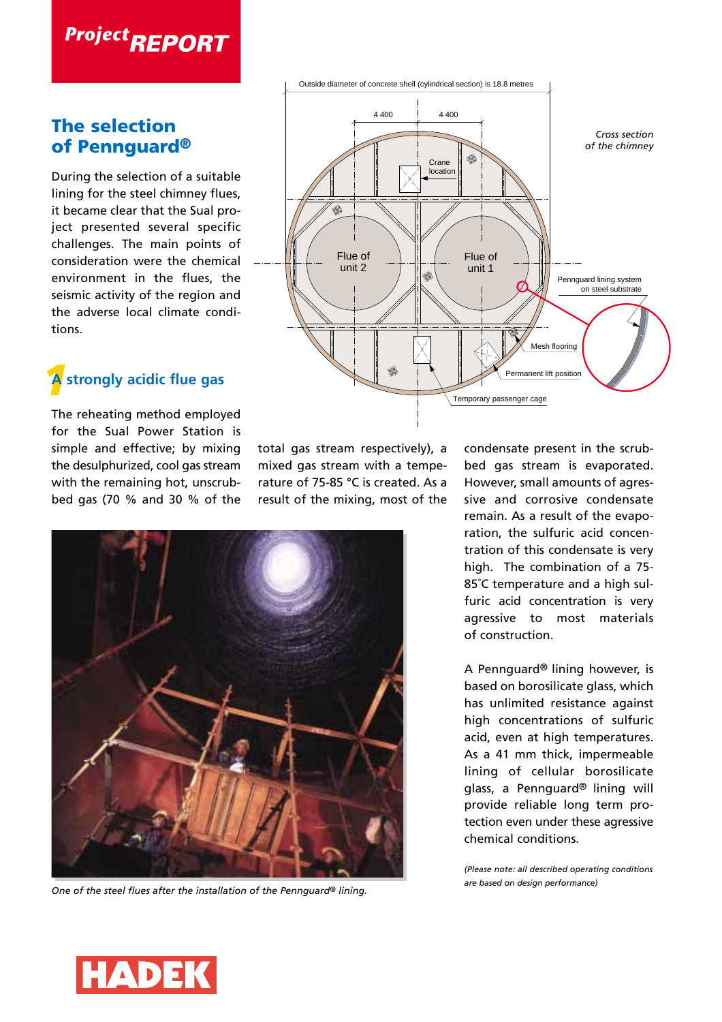## **Project REPORT**

#### **The selection of Pennguard®**

During the selection of a suitable lining for the steel chimney flues, it became clear that the Sual project presented several specific challenges. The main points of consideration were the chemical environment in the flues, the seismic activity of the region and the adverse local climate conditions.

#### *1* **A strongly acidic flue gas**

The reheating method employed for the Sual Power Station is simple and effective; by mixing the desulphurized, cool gas stream with the remaining hot, unscrubbed gas (70 % and 30 % of the

total gas stream respectively), a mixed gas stream with a temperature of 75-85 °C is created. As a result of the mixing, most of the



*One of the steel flues after the installation of the Pennguard® lining.*

condensate present in the scrubbed gas stream is evaporated. However, small amounts of agressive and corrosive condensate remain. As a result of the evaporation, the sulfuric acid concentration of this condensate is very high. The combination of a 75- 85˚C temperature and a high sulfuric acid concentration is very agressive to most materials of construction.

A Pennguard® lining however, is based on borosilicate glass, which has unlimited resistance against high concentrations of sulfuric acid, even at high temperatures. As a 41 mm thick, impermeable lining of cellular borosilicate glass, a Pennguard® lining will provide reliable long term protection even under these agressive chemical conditions.

*(Please note: all described operating conditions are based on design performance)*



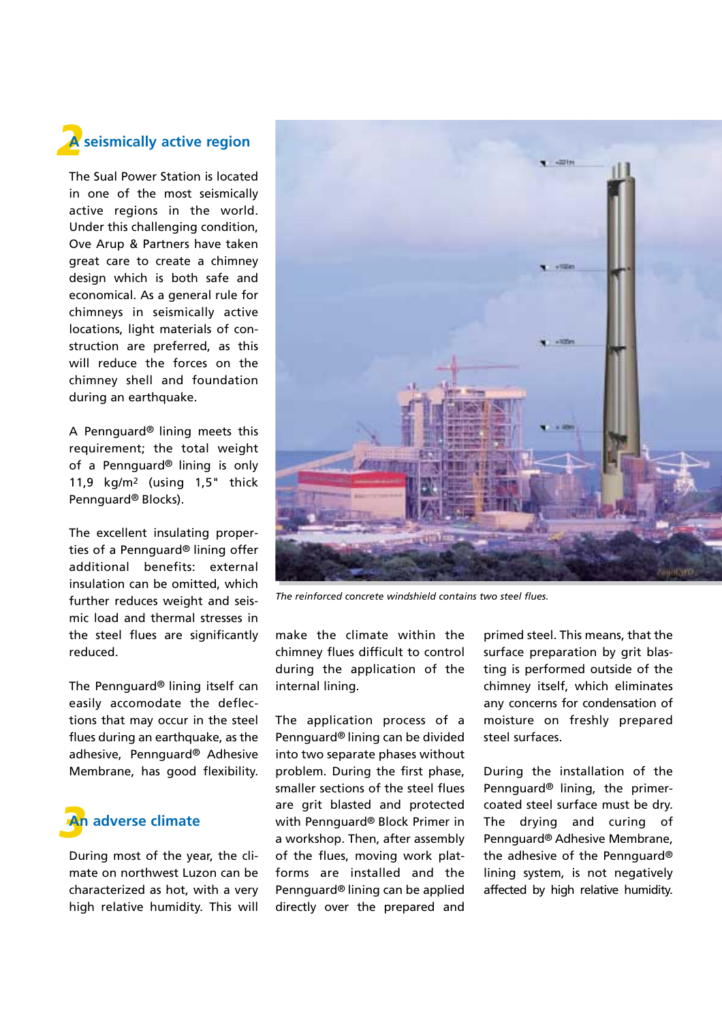#### *2* **A seismically active region**

The Sual Power Station is located in one of the most seismically active regions in the world. Under this challenging condition, Ove Arup & Partners have taken great care to create a chimney design which is both safe and economical. As a general rule for chimneys in seismically active locations, light materials of construction are preferred, as this will reduce the forces on the chimney shell and foundation during an earthquake.

A Pennguard® lining meets this requirement; the total weight of a Pennguard® lining is only 11,9 kg/m2 (using 1,5" thick Pennguard® Blocks).

The excellent insulating properties of a Pennguard® lining offer additional benefits: external insulation can be omitted, which further reduces weight and seismic load and thermal stresses in the steel flues are significantly reduced.

The Pennguard® lining itself can easily accomodate the deflections that may occur in the steel flues during an earthquake, as the adhesive, Pennguard® Adhesive Membrane, has good flexibility.



During most of the year, the climate on northwest Luzon can be characterized as hot, with a very high relative humidity. This will



*The reinforced concrete windshield contains two steel flues.*

make the climate within the chimney flues difficult to control during the application of the internal lining.

The application process of a Pennguard® lining can be divided into two separate phases without problem. During the first phase, smaller sections of the steel flues are grit blasted and protected with Pennguard® Block Primer in a workshop. Then, after assembly of the flues, moving work platforms are installed and the Pennguard® lining can be applied directly over the prepared and

primed steel. This means, that the surface preparation by grit blasting is performed outside of the chimney itself, which eliminates any concerns for condensation of moisture on freshly prepared steel surfaces.

During the installation of the Pennguard® lining, the primercoated steel surface must be dry. The drying and curing of Pennguard® Adhesive Membrane, the adhesive of the Pennguard® lining system, is not negatively affected by high relative humidity.